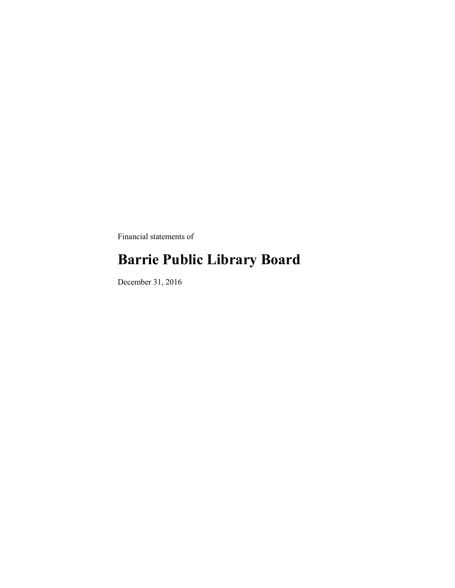Financial statements of

# **Barrie Public Library Board**

December 31, 2016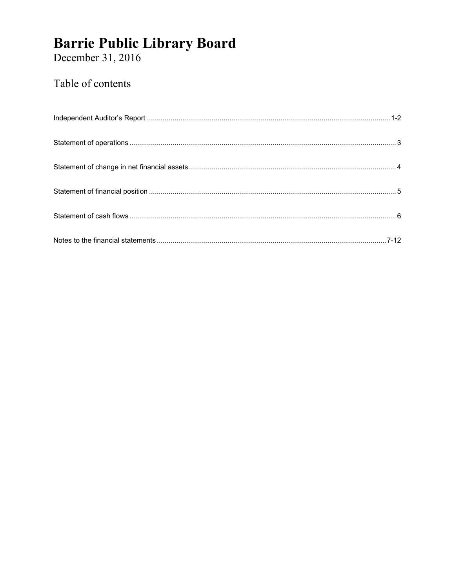# **Barrie Public Library Board**<br>December 31, 2016

### Table of contents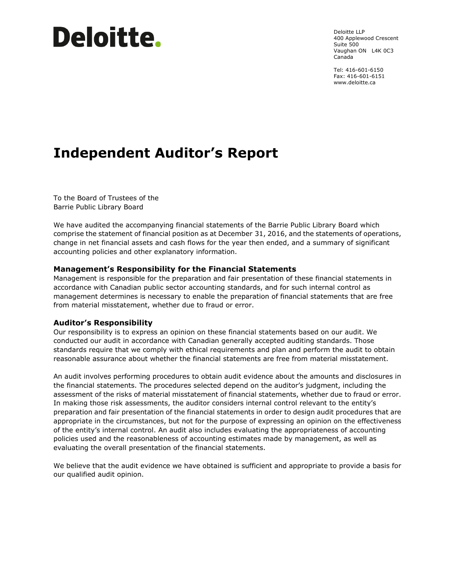# **Deloitte.**

Deloitte LLP 400 Applewood Crescent Suite 500 Vaughan ON L4K 0C3 Canada

Tel: 416-601-6150 Fax: 416-601-6151 www.deloitte.ca

## **Independent Auditor's Report**

To the Board of Trustees of the Barrie Public Library Board

We have audited the accompanying financial statements of the Barrie Public Library Board which comprise the statement of financial position as at December 31, 2016, and the statements of operations, change in net financial assets and cash flows for the year then ended, and a summary of significant accounting policies and other explanatory information.

### **Management's Responsibility for the Financial Statements**

Management is responsible for the preparation and fair presentation of these financial statements in accordance with Canadian public sector accounting standards, and for such internal control as management determines is necessary to enable the preparation of financial statements that are free from material misstatement, whether due to fraud or error.

### **Auditor's Responsibility**

Our responsibility is to express an opinion on these financial statements based on our audit. We conducted our audit in accordance with Canadian generally accepted auditing standards. Those standards require that we comply with ethical requirements and plan and perform the audit to obtain reasonable assurance about whether the financial statements are free from material misstatement.

An audit involves performing procedures to obtain audit evidence about the amounts and disclosures in the financial statements. The procedures selected depend on the auditor's judgment, including the assessment of the risks of material misstatement of financial statements, whether due to fraud or error. In making those risk assessments, the auditor considers internal control relevant to the entity's preparation and fair presentation of the financial statements in order to design audit procedures that are appropriate in the circumstances, but not for the purpose of expressing an opinion on the effectiveness of the entity's internal control. An audit also includes evaluating the appropriateness of accounting policies used and the reasonableness of accounting estimates made by management, as well as evaluating the overall presentation of the financial statements.

We believe that the audit evidence we have obtained is sufficient and appropriate to provide a basis for our qualified audit opinion.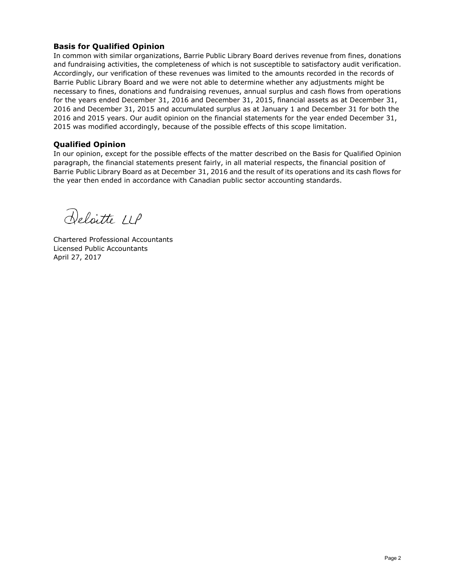### **Basis for Qualified Opinion**

In common with similar organizations, Barrie Public Library Board derives revenue from fines, donations and fundraising activities, the completeness of which is not susceptible to satisfactory audit verification. Accordingly, our verification of these revenues was limited to the amounts recorded in the records of Barrie Public Library Board and we were not able to determine whether any adjustments might be necessary to fines, donations and fundraising revenues, annual surplus and cash flows from operations for the years ended December 31, 2016 and December 31, 2015, financial assets as at December 31, 2016 and December 31, 2015 and accumulated surplus as at January 1 and December 31 for both the 2016 and 2015 years. Our audit opinion on the financial statements for the year ended December 31, 2015 was modified accordingly, because of the possible effects of this scope limitation.

### **Qualified Opinion**

In our opinion, except for the possible effects of the matter described on the Basis for Qualified Opinion paragraph, the financial statements present fairly, in all material respects, the financial position of Barrie Public Library Board as at December 31, 2016 and the result of its operations and its cash flows for the year then ended in accordance with Canadian public sector accounting standards.

Deloitte 11P

Chartered Professional Accountants Licensed Public Accountants April 27, 2017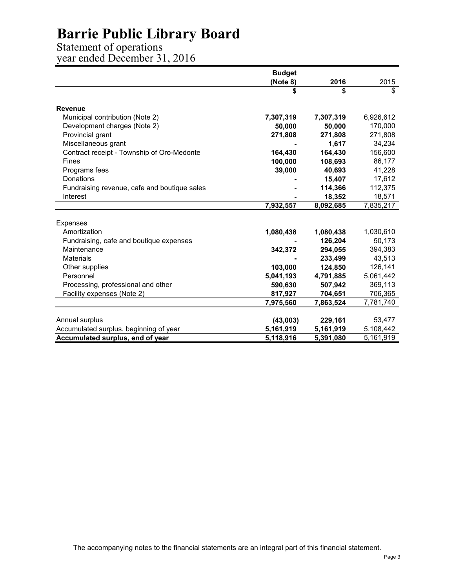Statement of operations

year ended December 31, 2016

|                                              | <b>Budget</b> |           |           |
|----------------------------------------------|---------------|-----------|-----------|
|                                              | (Note 8)      | 2016      | 2015      |
|                                              | \$            | \$        | \$        |
| <b>Revenue</b>                               |               |           |           |
| Municipal contribution (Note 2)              | 7,307,319     | 7,307,319 | 6,926,612 |
| Development charges (Note 2)                 | 50,000        | 50,000    | 170,000   |
| Provincial grant                             | 271,808       | 271,808   | 271,808   |
| Miscellaneous grant                          |               | 1,617     | 34,234    |
| Contract receipt - Township of Oro-Medonte   | 164.430       | 164,430   | 156,600   |
| <b>Fines</b>                                 | 100,000       | 108,693   | 86,177    |
| Programs fees                                | 39,000        | 40,693    | 41,228    |
| Donations                                    |               | 15,407    | 17,612    |
| Fundraising revenue, cafe and boutique sales |               | 114,366   | 112,375   |
| Interest                                     |               | 18,352    | 18,571    |
|                                              | 7,932,557     | 8,092,685 | 7,835,217 |
|                                              |               |           |           |
| <b>Expenses</b><br>Amortization              | 1,080,438     | 1,080,438 | 1,030,610 |
| Fundraising, cafe and boutique expenses      |               | 126,204   | 50,173    |
| Maintenance                                  | 342,372       | 294,055   | 394,383   |
| <b>Materials</b>                             |               | 233,499   | 43,513    |
| Other supplies                               | 103,000       | 124,850   | 126,141   |
| Personnel                                    | 5,041,193     | 4,791,885 | 5,061,442 |
| Processing, professional and other           | 590,630       | 507,942   | 369,113   |
| Facility expenses (Note 2)                   | 817,927       | 704,651   | 706,365   |
|                                              | 7,975,560     | 7,863,524 | 7,781,740 |
|                                              |               |           |           |
| Annual surplus                               | (43,003)      | 229,161   | 53,477    |
| Accumulated surplus, beginning of year       | 5,161,919     | 5,161,919 | 5,108,442 |
| Accumulated surplus, end of year             | 5,118,916     | 5,391,080 | 5,161,919 |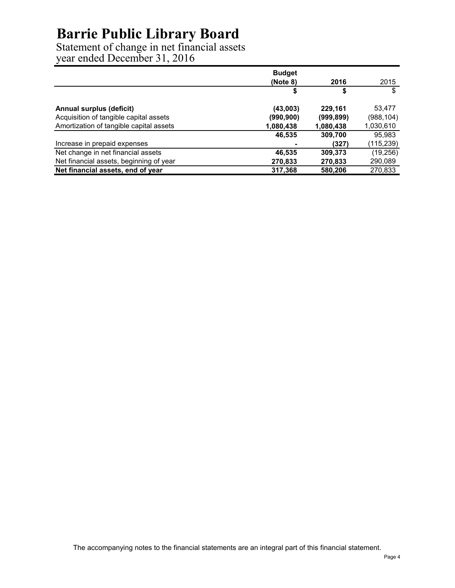Statement of change in net financial assets year ended December 31, 2016

|                                         | <b>Budget</b> |           |            |
|-----------------------------------------|---------------|-----------|------------|
|                                         | (Note 8)      | 2016      | 2015       |
|                                         | \$            | \$        | \$         |
| Annual surplus (deficit)                | (43,003)      | 229,161   | 53,477     |
| Acquisition of tangible capital assets  | (990, 900)    | (999,899) | (988, 104) |
| Amortization of tangible capital assets | 1,080,438     | 1,080,438 | 1,030,610  |
|                                         | 46,535        | 309,700   | 95,983     |
| Increase in prepaid expenses            |               | (327)     | (115, 239) |
| Net change in net financial assets      | 46,535        | 309,373   | (19, 256)  |
| Net financial assets, beginning of year | 270,833       | 270,833   | 290,089    |
| Net financial assets, end of year       | 317,368       | 580,206   | 270,833    |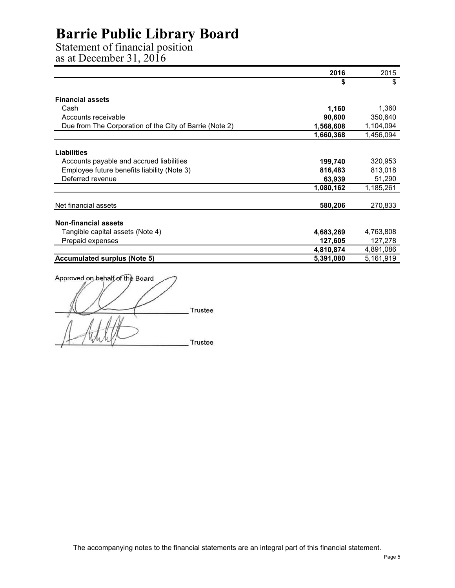Statement of financial position

as at December 31, 2016

|                                                         | 2016      | 2015      |
|---------------------------------------------------------|-----------|-----------|
|                                                         | \$        | \$        |
| <b>Financial assets</b>                                 |           |           |
| Cash                                                    | 1,160     | 1,360     |
| Accounts receivable                                     | 90,600    | 350,640   |
| Due from The Corporation of the City of Barrie (Note 2) | 1,568,608 | 1,104,094 |
|                                                         | 1,660,368 | 1,456,094 |
|                                                         |           |           |
| <b>Liabilities</b>                                      |           |           |
| Accounts payable and accrued liabilities                | 199,740   | 320,953   |
| Employee future benefits liability (Note 3)             | 816,483   | 813,018   |
| Deferred revenue                                        | 63,939    | 51,290    |
|                                                         | 1,080,162 | 1,185,261 |
| Net financial assets                                    | 580,206   | 270,833   |
| <b>Non-financial assets</b>                             |           |           |
| Tangible capital assets (Note 4)                        | 4,683,269 | 4,763,808 |
| Prepaid expenses                                        | 127,605   | 127,278   |
|                                                         | 4,810,874 | 4,891,086 |
| <b>Accumulated surplus (Note 5)</b>                     | 5,391,080 | 5,161,919 |

Approved on behalf of the Board Trustee Trustee

The accompanying notes to the financial statements are an integral part of this financial statement.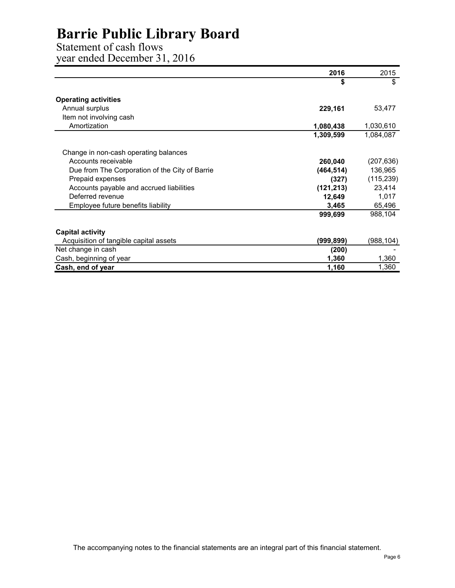Statement of cash flows year ended December 31, 2016

|                                                | 2016       | 2015       |
|------------------------------------------------|------------|------------|
|                                                | \$         | \$         |
| <b>Operating activities</b>                    |            |            |
| Annual surplus                                 | 229,161    | 53,477     |
| Item not involving cash                        |            |            |
| Amortization                                   | 1,080,438  | 1,030,610  |
|                                                | 1,309,599  | 1,084,087  |
| Change in non-cash operating balances          |            |            |
| Accounts receivable                            | 260,040    | (207, 636) |
| Due from The Corporation of the City of Barrie | (464, 514) | 136,965    |
| Prepaid expenses                               | (327)      | (115, 239) |
| Accounts payable and accrued liabilities       | (121, 213) | 23,414     |
| Deferred revenue                               | 12,649     | 1,017      |
| Employee future benefits liability             | 3,465      | 65,496     |
|                                                | 999,699    | 988,104    |
| <b>Capital activity</b>                        |            |            |
| Acquisition of tangible capital assets         | (999,899)  | (988,104)  |
| Net change in cash                             | (200)      |            |
| Cash, beginning of year                        | 1,360      | 1,360      |
| Cash, end of year                              | 1,160      | 1,360      |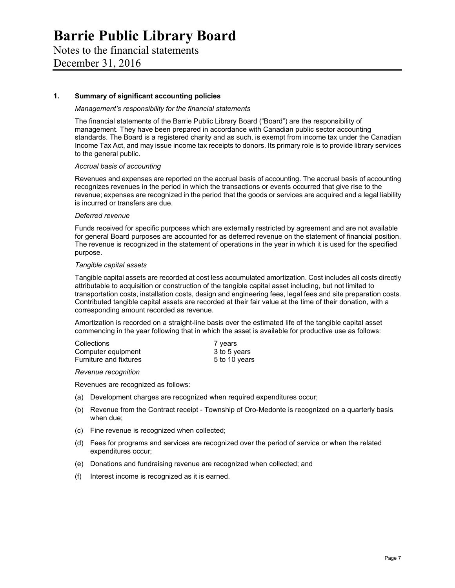Notes to the financial statements

#### **1. Summary of significant accounting policies**

#### *Management's responsibility for the financial statements*

The financial statements of the Barrie Public Library Board ("Board") are the responsibility of management. They have been prepared in accordance with Canadian public sector accounting standards. The Board is a registered charity and as such, is exempt from income tax under the Canadian Income Tax Act, and may issue income tax receipts to donors. Its primary role is to provide library services to the general public.

#### *Accrual basis of accounting*

Revenues and expenses are reported on the accrual basis of accounting. The accrual basis of accounting recognizes revenues in the period in which the transactions or events occurred that give rise to the revenue; expenses are recognized in the period that the goods or services are acquired and a legal liability is incurred or transfers are due.

#### *Deferred revenue*

Funds received for specific purposes which are externally restricted by agreement and are not available for general Board purposes are accounted for as deferred revenue on the statement of financial position. The revenue is recognized in the statement of operations in the year in which it is used for the specified purpose.

#### *Tangible capital assets*

Tangible capital assets are recorded at cost less accumulated amortization. Cost includes all costs directly attributable to acquisition or construction of the tangible capital asset including, but not limited to transportation costs, installation costs, design and engineering fees, legal fees and site preparation costs. Contributed tangible capital assets are recorded at their fair value at the time of their donation, with a corresponding amount recorded as revenue.

Amortization is recorded on a straight-line basis over the estimated life of the tangible capital asset commencing in the year following that in which the asset is available for productive use as follows:

| Collections            | 7 years       |
|------------------------|---------------|
| Computer equipment     | 3 to 5 years  |
| Furniture and fixtures | 5 to 10 years |

#### *Revenue recognition*

Revenues are recognized as follows:

- (a) Development charges are recognized when required expenditures occur;
- (b) Revenue from the Contract receipt Township of Oro-Medonte is recognized on a quarterly basis when due;
- (c) Fine revenue is recognized when collected;
- (d) Fees for programs and services are recognized over the period of service or when the related expenditures occur;
- (e) Donations and fundraising revenue are recognized when collected; and
- (f) Interest income is recognized as it is earned.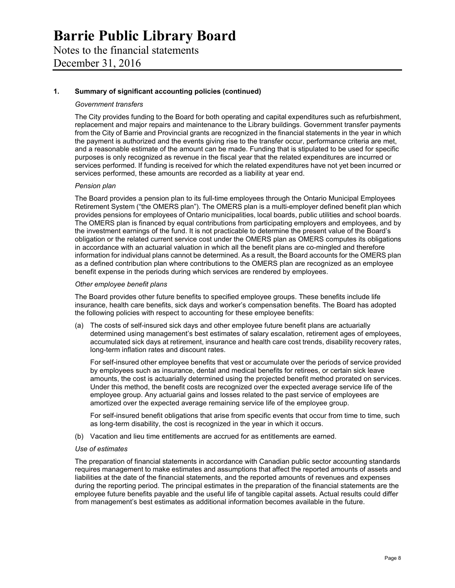#### **1. Summary of significant accounting policies (continued)**

#### *Government transfers*

The City provides funding to the Board for both operating and capital expenditures such as refurbishment, replacement and major repairs and maintenance to the Library buildings. Government transfer payments from the City of Barrie and Provincial grants are recognized in the financial statements in the year in which the payment is authorized and the events giving rise to the transfer occur, performance criteria are met, and a reasonable estimate of the amount can be made. Funding that is stipulated to be used for specific purposes is only recognized as revenue in the fiscal year that the related expenditures are incurred or services performed. If funding is received for which the related expenditures have not yet been incurred or services performed, these amounts are recorded as a liability at year end.

#### *Pension plan*

The Board provides a pension plan to its full-time employees through the Ontario Municipal Employees Retirement System ("the OMERS plan"). The OMERS plan is a multi-employer defined benefit plan which provides pensions for employees of Ontario municipalities, local boards, public utilities and school boards. The OMERS plan is financed by equal contributions from participating employers and employees, and by the investment earnings of the fund. It is not practicable to determine the present value of the Board's obligation or the related current service cost under the OMERS plan as OMERS computes its obligations in accordance with an actuarial valuation in which all the benefit plans are co-mingled and therefore information for individual plans cannot be determined. As a result, the Board accounts for the OMERS plan as a defined contribution plan where contributions to the OMERS plan are recognized as an employee benefit expense in the periods during which services are rendered by employees.

#### *Other employee benefit plans*

The Board provides other future benefits to specified employee groups. These benefits include life insurance, health care benefits, sick days and worker's compensation benefits. The Board has adopted the following policies with respect to accounting for these employee benefits:

(a) The costs of self-insured sick days and other employee future benefit plans are actuarially determined using management's best estimates of salary escalation, retirement ages of employees, accumulated sick days at retirement, insurance and health care cost trends, disability recovery rates, long-term inflation rates and discount rates.

For self-insured other employee benefits that vest or accumulate over the periods of service provided by employees such as insurance, dental and medical benefits for retirees, or certain sick leave amounts, the cost is actuarially determined using the projected benefit method prorated on services. Under this method, the benefit costs are recognized over the expected average service life of the employee group. Any actuarial gains and losses related to the past service of employees are amortized over the expected average remaining service life of the employee group.

For self-insured benefit obligations that arise from specific events that occur from time to time, such as long-term disability, the cost is recognized in the year in which it occurs.

(b) Vacation and lieu time entitlements are accrued for as entitlements are earned.

#### *Use of estimates*

The preparation of financial statements in accordance with Canadian public sector accounting standards requires management to make estimates and assumptions that affect the reported amounts of assets and liabilities at the date of the financial statements, and the reported amounts of revenues and expenses during the reporting period. The principal estimates in the preparation of the financial statements are the employee future benefits payable and the useful life of tangible capital assets. Actual results could differ from management's best estimates as additional information becomes available in the future.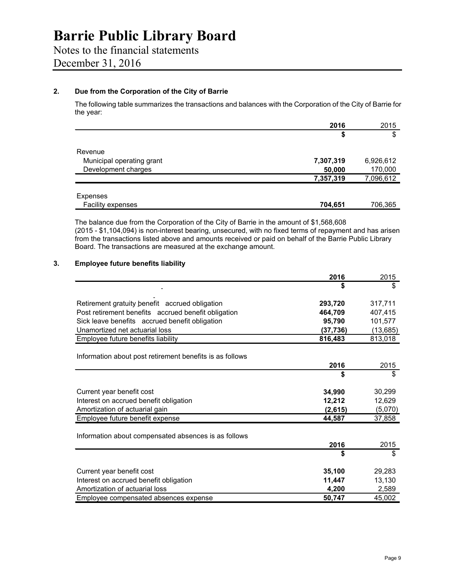# Notes to the financial statements

December 31, 2016

### **2. Due from the Corporation of the City of Barrie**

The following table summarizes the transactions and balances with the Corporation of the City of Barrie for the year:

|                           | 2016      | 2015      |
|---------------------------|-----------|-----------|
|                           | \$        | \$        |
|                           |           |           |
| Revenue                   |           |           |
| Municipal operating grant | 7,307,319 | 6,926,612 |
| Development charges       | 50,000    | 170,000   |
|                           | 7,357,319 | 7,096,612 |
|                           |           |           |
| Expenses                  |           |           |
| Facility expenses         | 704,651   | 706,365   |

The balance due from the Corporation of the City of Barrie in the amount of \$1,568,608 (2015 - \$1,104,094) is non-interest bearing, unsecured, with no fixed terms of repayment and has arisen from the transactions listed above and amounts received or paid on behalf of the Barrie Public Library Board. The transactions are measured at the exchange amount.

### **3. Employee future benefits liability**

|                                                          | 2016      | 2015     |
|----------------------------------------------------------|-----------|----------|
|                                                          | \$        | \$       |
|                                                          |           |          |
| Retirement gratuity benefit accrued obligation           | 293,720   | 317,711  |
| Post retirement benefits accrued benefit obligation      | 464,709   | 407,415  |
| Sick leave benefits accrued benefit obligation           | 95,790    | 101,577  |
| Unamortized net actuarial loss                           | (37, 736) | (13,685) |
| Employee future benefits liability                       | 816,483   | 813,018  |
|                                                          |           |          |
| Information about post retirement benefits is as follows |           |          |
|                                                          | 2016      | 2015     |
|                                                          | \$        | \$       |
|                                                          |           |          |
| Current year benefit cost                                | 34,990    | 30,299   |
| Interest on accrued benefit obligation                   | 12,212    | 12,629   |
| Amortization of actuarial gain                           | (2,615)   | (5,070)  |
| Employee future benefit expense                          | 44,587    | 37,858   |
|                                                          |           |          |
| Information about compensated absences is as follows     |           |          |
|                                                          | 2016      | 2015     |
|                                                          | \$        | \$       |
|                                                          |           |          |
| Current year benefit cost                                | 35,100    | 29,283   |
| Interest on accrued benefit obligation                   | 11,447    | 13,130   |
| Amortization of actuarial loss                           | 4,200     | 2,589    |
| Employee compensated absences expense                    | 50,747    | 45,002   |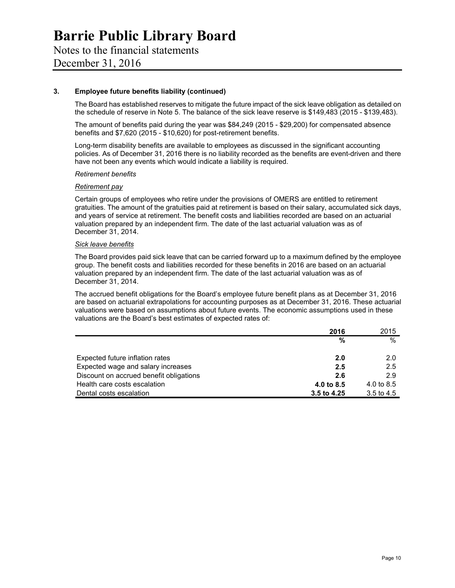#### **3. Employee future benefits liability (continued)**

The Board has established reserves to mitigate the future impact of the sick leave obligation as detailed on the schedule of reserve in Note 5. The balance of the sick leave reserve is \$149,483 (2015 - \$139,483).

The amount of benefits paid during the year was \$84,249 (2015 - \$29,200) for compensated absence benefits and \$7,620 (2015 - \$10,620) for post-retirement benefits.

Long-term disability benefits are available to employees as discussed in the significant accounting policies. As of December 31, 2016 there is no liability recorded as the benefits are event-driven and there have not been any events which would indicate a liability is required.

#### *Retirement benefits*

#### *Retirement pay*

Certain groups of employees who retire under the provisions of OMERS are entitled to retirement gratuities. The amount of the gratuities paid at retirement is based on their salary, accumulated sick days, and years of service at retirement. The benefit costs and liabilities recorded are based on an actuarial valuation prepared by an independent firm. The date of the last actuarial valuation was as of December 31, 2014.

#### *Sick leave benefits*

The Board provides paid sick leave that can be carried forward up to a maximum defined by the employee group. The benefit costs and liabilities recorded for these benefits in 2016 are based on an actuarial valuation prepared by an independent firm. The date of the last actuarial valuation was as of December 31, 2014.

The accrued benefit obligations for the Board's employee future benefit plans as at December 31, 2016 are based on actuarial extrapolations for accounting purposes as at December 31, 2016. These actuarial valuations were based on assumptions about future events. The economic assumptions used in these valuations are the Board's best estimates of expected rates of:

|                                         | 2016        | 2015                  |
|-----------------------------------------|-------------|-----------------------|
|                                         | %           | $\frac{0}{0}$         |
| Expected future inflation rates         | 2.0         | 2.0                   |
| Expected wage and salary increases      | 2.5         | 2.5                   |
| Discount on accrued benefit obligations | 2.6         | 29                    |
| Health care costs escalation            | 4.0 to 8.5  | 4.0 to 8.5            |
| Dental costs escalation                 | 3.5 to 4.25 | $3.5 \text{ to } 4.5$ |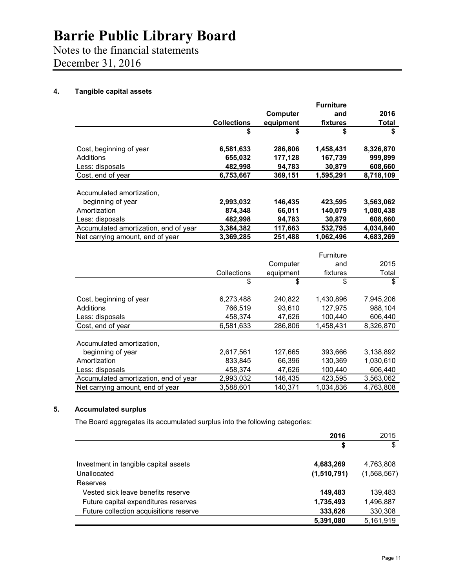Notes to the financial statements

December 31, 2016

### **4. Tangible capital assets**

|                                       |                    |                 | <b>Furniture</b> |           |
|---------------------------------------|--------------------|-----------------|------------------|-----------|
|                                       |                    | <b>Computer</b> | and              | 2016      |
|                                       | <b>Collections</b> | equipment       | fixtures         | Total     |
|                                       | \$                 | \$              | \$               | \$        |
| Cost, beginning of year               | 6,581,633          | 286,806         | 1,458,431        | 8,326,870 |
| Additions                             | 655,032            | 177,128         | 167,739          | 999,899   |
| Less: disposals                       | 482,998            | 94,783          | 30,879           | 608,660   |
| Cost, end of year                     | 6,753,667          | 369,151         | 1,595,291        | 8,718,109 |
| Accumulated amortization,             |                    |                 |                  |           |
| beginning of year                     | 2,993,032          | 146,435         | 423,595          | 3,563,062 |
| Amortization                          | 874,348            | 66,011          | 140,079          | 1,080,438 |
| Less: disposals                       | 482,998            | 94,783          | 30,879           | 608,660   |
| Accumulated amortization, end of year | 3,384,382          | 117,663         | 532,795          | 4,034,840 |
| Net carrying amount, end of year      | 3,369,285          | 251,488         | 1,062,496        | 4,683,269 |

|                                       |             |           | <b>Furniture</b> |           |
|---------------------------------------|-------------|-----------|------------------|-----------|
|                                       |             | Computer  | and              | 2015      |
|                                       | Collections | equipment | fixtures         | Total     |
|                                       | \$          | \$        | \$               | \$        |
|                                       |             |           |                  |           |
| Cost, beginning of year               | 6,273,488   | 240,822   | 1,430,896        | 7,945,206 |
| Additions                             | 766,519     | 93.610    | 127,975          | 988,104   |
| Less: disposals                       | 458.374     | 47,626    | 100.440          | 606.440   |
| Cost, end of year                     | 6,581,633   | 286,806   | 1,458,431        | 8,326,870 |
|                                       |             |           |                  |           |
| Accumulated amortization,             |             |           |                  |           |
| beginning of year                     | 2,617,561   | 127,665   | 393,666          | 3,138,892 |
| Amortization                          | 833,845     | 66,396    | 130,369          | 1,030,610 |
| Less: disposals                       | 458.374     | 47.626    | 100.440          | 606.440   |
| Accumulated amortization, end of year | 2,993,032   | 146,435   | 423,595          | 3,563,062 |
| Net carrying amount, end of year      | 3.588.601   | 140.371   | 1,034,836        | 4.763.808 |

### **5. Accumulated surplus**

The Board aggregates its accumulated surplus into the following categories:

|                                        | 2016        | 2015        |
|----------------------------------------|-------------|-------------|
|                                        | \$          | \$          |
| Investment in tangible capital assets  | 4,683,269   | 4,763,808   |
| Unallocated                            | (1,510,791) | (1,568,567) |
| Reserves                               |             |             |
| Vested sick leave benefits reserve     | 149.483     | 139,483     |
| Future capital expenditures reserves   | 1,735,493   | 1,496,887   |
| Future collection acquisitions reserve | 333,626     | 330,308     |
|                                        | 5,391,080   | 5,161,919   |